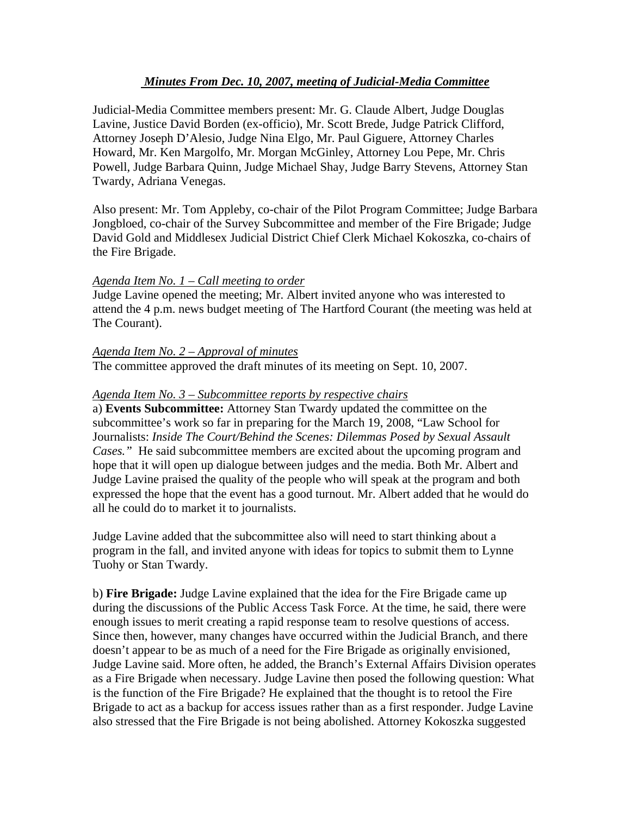# *Minutes From Dec. 10, 2007, meeting of Judicial-Media Committee*

Judicial-Media Committee members present: Mr. G. Claude Albert, Judge Douglas Lavine, Justice David Borden (ex-officio), Mr. Scott Brede, Judge Patrick Clifford, Attorney Joseph D'Alesio, Judge Nina Elgo, Mr. Paul Giguere, Attorney Charles Howard, Mr. Ken Margolfo, Mr. Morgan McGinley, Attorney Lou Pepe, Mr. Chris Powell, Judge Barbara Quinn, Judge Michael Shay, Judge Barry Stevens, Attorney Stan Twardy, Adriana Venegas.

Also present: Mr. Tom Appleby, co-chair of the Pilot Program Committee; Judge Barbara Jongbloed, co-chair of the Survey Subcommittee and member of the Fire Brigade; Judge David Gold and Middlesex Judicial District Chief Clerk Michael Kokoszka, co-chairs of the Fire Brigade.

## *Agenda Item No. 1 – Call meeting to order*

Judge Lavine opened the meeting; Mr. Albert invited anyone who was interested to attend the 4 p.m. news budget meeting of The Hartford Courant (the meeting was held at The Courant).

## *Agenda Item No. 2 – Approval of minutes*

The committee approved the draft minutes of its meeting on Sept. 10, 2007.

### *Agenda Item No. 3 – Subcommittee reports by respective chairs*

a) **Events Subcommittee:** Attorney Stan Twardy updated the committee on the subcommittee's work so far in preparing for the March 19, 2008, "Law School for Journalists: *Inside The Court/Behind the Scenes: Dilemmas Posed by Sexual Assault Cases."* He said subcommittee members are excited about the upcoming program and hope that it will open up dialogue between judges and the media. Both Mr. Albert and Judge Lavine praised the quality of the people who will speak at the program and both expressed the hope that the event has a good turnout. Mr. Albert added that he would do all he could do to market it to journalists.

Judge Lavine added that the subcommittee also will need to start thinking about a program in the fall, and invited anyone with ideas for topics to submit them to Lynne Tuohy or Stan Twardy.

b) **Fire Brigade:** Judge Lavine explained that the idea for the Fire Brigade came up during the discussions of the Public Access Task Force. At the time, he said, there were enough issues to merit creating a rapid response team to resolve questions of access. Since then, however, many changes have occurred within the Judicial Branch, and there doesn't appear to be as much of a need for the Fire Brigade as originally envisioned, Judge Lavine said. More often, he added, the Branch's External Affairs Division operates as a Fire Brigade when necessary. Judge Lavine then posed the following question: What is the function of the Fire Brigade? He explained that the thought is to retool the Fire Brigade to act as a backup for access issues rather than as a first responder. Judge Lavine also stressed that the Fire Brigade is not being abolished. Attorney Kokoszka suggested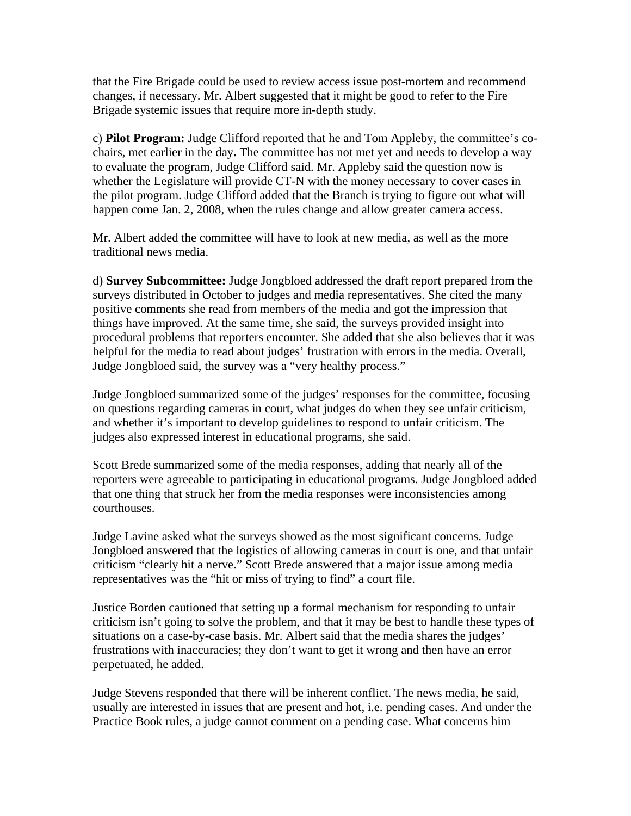that the Fire Brigade could be used to review access issue post-mortem and recommend changes, if necessary. Mr. Albert suggested that it might be good to refer to the Fire Brigade systemic issues that require more in-depth study.

c) **Pilot Program:** Judge Clifford reported that he and Tom Appleby, the committee's cochairs, met earlier in the day**.** The committee has not met yet and needs to develop a way to evaluate the program, Judge Clifford said. Mr. Appleby said the question now is whether the Legislature will provide CT-N with the money necessary to cover cases in the pilot program. Judge Clifford added that the Branch is trying to figure out what will happen come Jan. 2, 2008, when the rules change and allow greater camera access.

Mr. Albert added the committee will have to look at new media, as well as the more traditional news media.

d) **Survey Subcommittee:** Judge Jongbloed addressed the draft report prepared from the surveys distributed in October to judges and media representatives. She cited the many positive comments she read from members of the media and got the impression that things have improved. At the same time, she said, the surveys provided insight into procedural problems that reporters encounter. She added that she also believes that it was helpful for the media to read about judges' frustration with errors in the media. Overall, Judge Jongbloed said, the survey was a "very healthy process."

Judge Jongbloed summarized some of the judges' responses for the committee, focusing on questions regarding cameras in court, what judges do when they see unfair criticism, and whether it's important to develop guidelines to respond to unfair criticism. The judges also expressed interest in educational programs, she said.

Scott Brede summarized some of the media responses, adding that nearly all of the reporters were agreeable to participating in educational programs. Judge Jongbloed added that one thing that struck her from the media responses were inconsistencies among courthouses.

Judge Lavine asked what the surveys showed as the most significant concerns. Judge Jongbloed answered that the logistics of allowing cameras in court is one, and that unfair criticism "clearly hit a nerve." Scott Brede answered that a major issue among media representatives was the "hit or miss of trying to find" a court file.

Justice Borden cautioned that setting up a formal mechanism for responding to unfair criticism isn't going to solve the problem, and that it may be best to handle these types of situations on a case-by-case basis. Mr. Albert said that the media shares the judges' frustrations with inaccuracies; they don't want to get it wrong and then have an error perpetuated, he added.

Judge Stevens responded that there will be inherent conflict. The news media, he said, usually are interested in issues that are present and hot, i.e. pending cases. And under the Practice Book rules, a judge cannot comment on a pending case. What concerns him